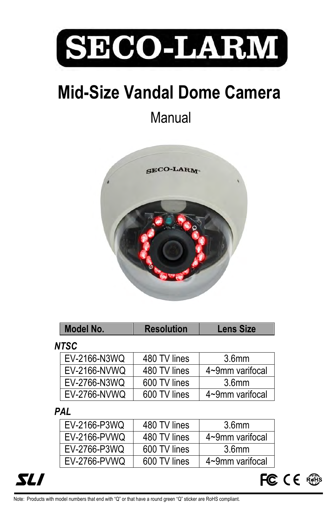

# **Mid-Size Vandal Dome Camera**

**Manual** 



|      | Model No.    | <b>Resolution</b> | <b>Lens Size</b>  |  |  |  |
|------|--------------|-------------------|-------------------|--|--|--|
| ITSC |              |                   |                   |  |  |  |
|      | EV-2166-N3WQ | 480 TV lines      | 3.6 <sub>mm</sub> |  |  |  |
|      | EV-2166-NVWQ | 480 TV lines      | 4~9mm varifocal   |  |  |  |
|      | EV-2766-N3WQ | 600 TV lines      | 3.6 <sub>mm</sub> |  |  |  |
|      | EV-2766-NVWQ | 600 TV lines      | 4~9mm varifocal   |  |  |  |

### *PAL*

*NTSC*

| EV-2166-P3WQ | 480 TV lines | 3.6 <sub>mm</sub> |
|--------------|--------------|-------------------|
| EV-2166-PVWQ | 480 TV lines | 4~9mm varifocal   |
| EV-2766-P3WQ | 600 TV lines | 3.6mm             |
| EV-2766-PVWQ | 600 TV lines | 4~9mm varifocal   |



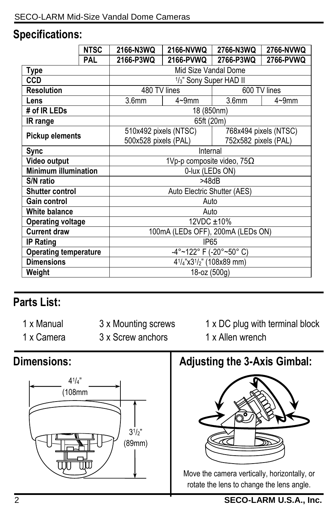### **Specifications:**

|                              | <b>NTSC</b> | 2166-N3WQ                                                                   | 2166-NVWQ  | 2766-N3WQ             | 2766-NVWQ  |  |
|------------------------------|-------------|-----------------------------------------------------------------------------|------------|-----------------------|------------|--|
|                              | <b>PAL</b>  | 2166-P3WQ                                                                   | 2166-PVWQ  | 2766-P3WQ             | 2766-PVWQ  |  |
| <b>Type</b>                  |             | Mid Size Vandal Dome                                                        |            |                       |            |  |
| <b>CCD</b>                   |             | 1/ <sub>3</sub> " Sony Super HAD II                                         |            |                       |            |  |
| <b>Resolution</b>            |             | 480 TV lines                                                                |            | 600 TV lines          |            |  |
| Lens                         |             | 3.6 <sub>mm</sub>                                                           | $4 - 9$ mm | 3.6 <sub>mm</sub>     | $4 - 9$ mm |  |
| # of IR LEDs                 |             | 18 (850nm)                                                                  |            |                       |            |  |
| IR range                     |             | 65ft (20m)                                                                  |            |                       |            |  |
|                              |             | 510x492 pixels (NTSC)                                                       |            | 768x494 pixels (NTSC) |            |  |
| <b>Pickup elements</b>       |             | 500x528 pixels (PAL)                                                        |            | 752x582 pixels (PAL)  |            |  |
| <b>Sync</b>                  |             | Internal                                                                    |            |                       |            |  |
| Video output                 |             | 1Vp-p composite video, $75\Omega$                                           |            |                       |            |  |
| <b>Minimum illumination</b>  |             | 0-lux (LEDs ON)                                                             |            |                       |            |  |
| S/N ratio                    |             | >48dB                                                                       |            |                       |            |  |
| <b>Shutter control</b>       |             | Auto Electric Shutter (AES)                                                 |            |                       |            |  |
| <b>Gain control</b>          |             | Auto                                                                        |            |                       |            |  |
| White balance                |             | Auto                                                                        |            |                       |            |  |
| <b>Operating voltage</b>     |             | 12VDC ±10%                                                                  |            |                       |            |  |
| <b>Current draw</b>          |             | 100mA (LEDs OFF), 200mA (LEDs ON)                                           |            |                       |            |  |
| <b>IP Rating</b>             |             | IP <sub>65</sub>                                                            |            |                       |            |  |
| <b>Operating temperature</b> |             | -4°~122° F (-20°~50° C)                                                     |            |                       |            |  |
| <b>Dimensions</b>            |             | 4 <sup>1</sup> / <sub>4</sub> "x3 <sup>1</sup> / <sub>2</sub> " (108x89 mm) |            |                       |            |  |
| Weight                       |             | 18-oz (500g)                                                                |            |                       |            |  |

# **Parts List:**

- 1 x Manual
- 3 x Mounting screws
- 1 x Camera
- 
- 3 x Screw anchors
- 1 x DC plug with terminal block 1 x Allen wrench

## **Dimensions:**



**Adjusting the 3-Axis Gimbal:**



Move the camera vertically, horizontally, or rotate the lens to change the lens angle.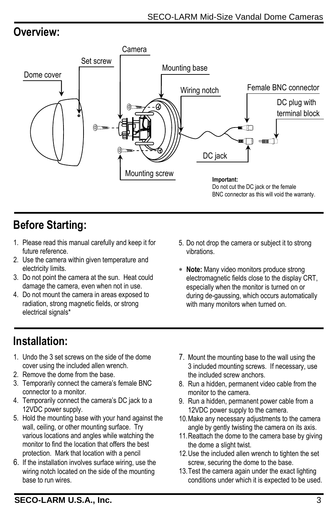### **Overview:**



# **Before Starting:**

- 1. Please read this manual carefully and keep it for future reference.
- 2. Use the camera within given temperature and electricity limits.
- 3. Do not point the camera at the sun. Heat could damage the camera, even when not in use.
- 4. Do not mount the camera in areas exposed to radiation, strong magnetic fields, or strong electrical signals\*
- 5. Do not drop the camera or subject it to strong vibrations.
- **Note:** Many video monitors produce strong electromagnetic fields close to the display CRT, especially when the monitor is turned on or during de-gaussing, which occurs automatically with many monitors when turned on.

### **Installation:**

- 1. Undo the 3 set screws on the side of the dome cover using the included allen wrench.
- 2. Remove the dome from the base.
- 3. Temporarily connect the camera's female BNC connector to a monitor.
- 4. Temporarily connect the camera's DC jack to a 12VDC power supply.
- 5. Hold the mounting base with your hand against the wall, ceiling, or other mounting surface. Try various locations and angles while watching the monitor to find the location that offers the best protection. Mark that location with a pencil
- 6. If the installation involves surface wiring, use the wiring notch located on the side of the mounting base to run wires.
- 7. Mount the mounting base to the wall using the 3 included mounting screws. If necessary, use the included screw anchors.
- 8. Run a hidden, permanent video cable from the monitor to the camera.
- 9. Run a hidden, permanent power cable from a 12VDC power supply to the camera.
- 10.Make any necessary adjustments to the camera angle by gently twisting the camera on its axis.
- 11.Reattach the dome to the camera base by giving the dome a slight twist.
- 12.Use the included allen wrench to tighten the set screw, securing the dome to the base.
- 13.Test the camera again under the exact lighting conditions under which it is expected to be used.